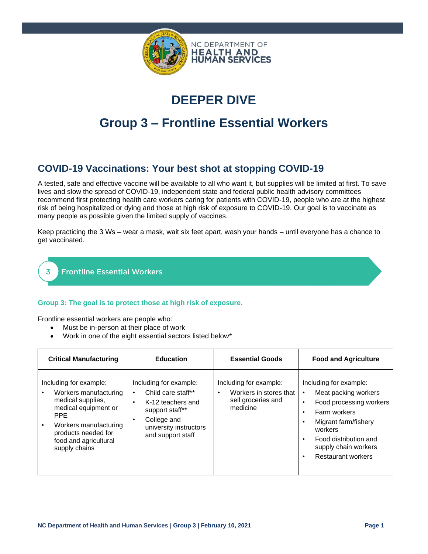

# **DEEPER DIVE**

## **Group 3 – Frontline Essential Workers**

## **COVID-19 Vaccinations: Your best shot at stopping COVID-19**

A tested, safe and effective vaccine will be available to all who want it, but supplies will be limited at first. To save lives and slow the spread of COVID-19, independent state and federal public health advisory committees recommend first protecting health care workers caring for patients with COVID-19, people who are at the highest risk of being hospitalized or dying and those at high risk of exposure to COVID-19. Our goal is to vaccinate as many people as possible given the limited supply of vaccines.

Keep practicing the 3 Ws – wear a mask, wait six feet apart, wash your hands – until everyone has a chance to get vaccinated.

### **Frontline Essential Workers**

3

#### **Group 3: The goal is to protect those at high risk of exposure.**

Frontline essential workers are people who:

- Must be in-person at their place of work
- Work in one of the eight essential sectors listed below\*

| <b>Critical Manufacturing</b>                                                                                                                                                                        | <b>Education</b>                                                                                                                                                                          | <b>Essential Goods</b>                                                             | <b>Food and Agriculture</b>                                                                                                                                                                                     |
|------------------------------------------------------------------------------------------------------------------------------------------------------------------------------------------------------|-------------------------------------------------------------------------------------------------------------------------------------------------------------------------------------------|------------------------------------------------------------------------------------|-----------------------------------------------------------------------------------------------------------------------------------------------------------------------------------------------------------------|
| Including for example:<br>Workers manufacturing<br>medical supplies,<br>medical equipment or<br><b>PPE</b><br>Workers manufacturing<br>products needed for<br>food and agricultural<br>supply chains | Including for example:<br>Child care staff**<br>$\bullet$<br>K-12 teachers and<br>$\bullet$<br>support staff**<br>College and<br>$\bullet$<br>university instructors<br>and support staff | Including for example:<br>Workers in stores that<br>sell groceries and<br>medicine | Including for example:<br>Meat packing workers<br>Food processing workers<br>Farm workers<br>٠<br>Migrant farm/fishery<br>workers<br>Food distribution and<br>supply chain workers<br><b>Restaurant workers</b> |